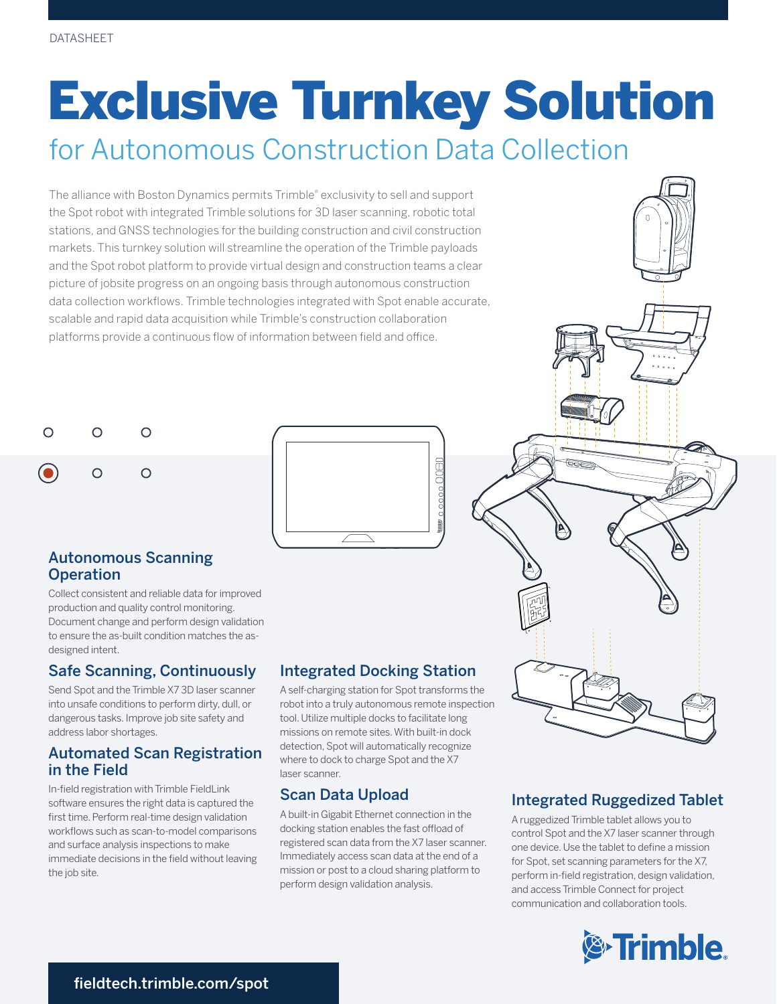# Exclusive Turnkey Solution

## for Autonomous Construction Data Collection

The alliance with Boston Dynamics permits Trimble® exclusivity to sell and support the Spot robot with integrated Trimble solutions for 3D laser scanning, robotic total stations, and GNSS technologies for the building construction and civil construction markets. This turnkey solution will streamline the operation of the Trimble payloads and the Spot robot platform to provide virtual design and construction teams a clear picture of jobsite progress on an ongoing basis through autonomous construction data collection workflows. Trimble technologies integrated with Spot enable accurate, scalable and rapid data acquisition while Trimble's construction collaboration platforms provide a continuous flow of information between field and office.





#### Autonomous Scanning **Operation**

Collect consistent and reliable data for improved production and quality control monitoring. Document change and perform design validation to ensure the as-built condition matches the asdesigned intent.

### Safe Scanning, Continuously

Send Spot and the Trimble X7 3D laser scanner into unsafe conditions to perform dirty, dull, or dangerous tasks. Improve job site safety and address labor shortages.

#### Automated Scan Registration in the Field

In-field registration with Trimble FieldLink software ensures the right data is captured the first time. Perform real-time design validation workflows such as scan-to-model comparisons and surface analysis inspections to make immediate decisions in the field without leaving the job site.

### Integrated Docking Station

A self-charging station for Spot transforms the robot into a truly autonomous remote inspection tool. Utilize multiple docks to facilitate long missions on remote sites. With built-in dock detection, Spot will automatically recognize where to dock to charge Spot and the X7 laser scanner.

#### Scan Data Upload

A built-in Gigabit Ethernet connection in the docking station enables the fast offload of registered scan data from the X7 laser scanner. Immediately access scan data at the end of a mission or post to a cloud sharing platform to perform design validation analysis.



### Integrated Ruggedized Tablet

A ruggedized Trimble tablet allows you to control Spot and the X7 laser scanner through one device. Use the tablet to define a mission for Spot, set scanning parameters for the X7, perform in-field registration, design validation, and access Trimble Connect for project communication and collaboration tools.